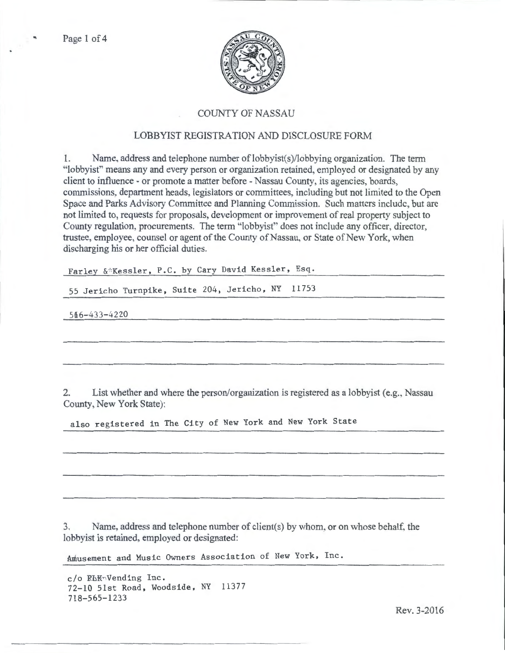

## COUNTY OF NASSAU

## LOBBYIST REGISTRATION AND DISCLOSURE FORM

1. Name, address and telephone number of lobbyist(s)/1obbying organization. The term "lobbyist" means any and every person or organization retained, employed or designated by any client to influence- or promote a matter before- Nassau County, its agencies, boards, commissions, department heads, legislators or committees, including but not limited to the Open Space and Parks Advisory Committee and Planning Commission. Such matters include, but arc not limited to, requests for proposals, development or improvement of real property subject to County regulation, procurements. The term "lobbyist" does not include any officer, director, trustee, employee, counsel or agent of the County of Nassau, or State of New York, when discharging his or her official duties.

Farley & Kessler, P.C. by Cary David Kessler, Esq.

55 Jericho Turnpike, Suite 204, Jericho, NY 11753

546-433-4220

2. List whether and where the person/organization is registered as a lobbyist (e.g., Nassau County, New York State):

also registered in The City of New York and New York State

3. Name, address and telephone number of client(s) by whom, or on whose behalf. the lobbyist is retained, employed or designated:

Amusement and Music Owners Association of New York, Inc.

c/o RbK•,Vending Inc. 72-10 51st Road, Woodside, NY 11377 718-565-1233

Rev. 3-2016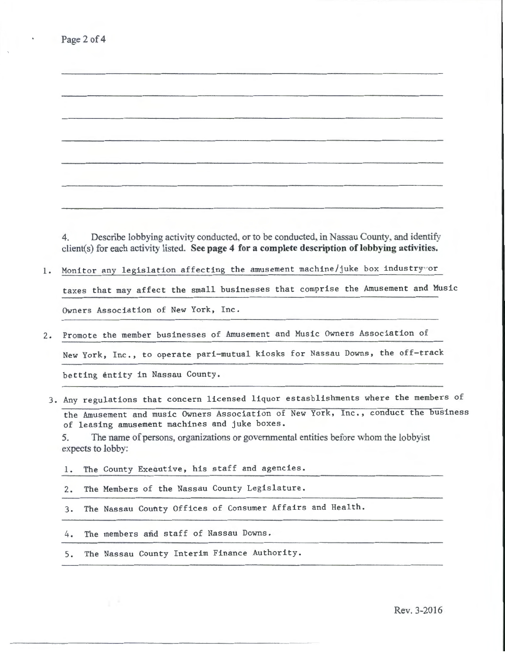| 4.              | Describe lobbying activity conducted, or to be conducted, in Nassau County, and identify<br>client(s) for each activity listed. See page 4 for a complete description of lobbying activities. |
|-----------------|-----------------------------------------------------------------------------------------------------------------------------------------------------------------------------------------------|
|                 | Monitor any legislation affecting the amusement machine/juke box industryvor                                                                                                                  |
|                 | taxes that may affect the small businesses that comprise the Amusement and Music                                                                                                              |
|                 |                                                                                                                                                                                               |
|                 |                                                                                                                                                                                               |
|                 | Owners Association of New York, Inc.                                                                                                                                                          |
|                 | Promote the member businesses of Amusement and Music Owners Association of                                                                                                                    |
|                 | New York, Inc., to operate pari-mutual kiosks for Nassau Downs, the off-track                                                                                                                 |
|                 | betting entity in Nassau County.                                                                                                                                                              |
|                 |                                                                                                                                                                                               |
|                 | 3. Any regulations that concern licensed liquor estasblishments where the members of                                                                                                          |
|                 | the Amusement and music Owners Association of New York, Inc., conduct the business                                                                                                            |
|                 | of leasing amusement machines and juke boxes.<br>The name of persons, organizations or governmental entities before whom the lobby ist                                                        |
|                 | expects to lobby:                                                                                                                                                                             |
| 5.<br>$\perp$ . | The County Executive, his staff and agencies.                                                                                                                                                 |
| 2.              | The Members of the Nassau County Legislature.                                                                                                                                                 |
| 3.              | The Nassau County Offices of Consumer Affairs and Health.                                                                                                                                     |
| 4.              | The members and staff of Nassau Downs.                                                                                                                                                        |

Page 2 of 4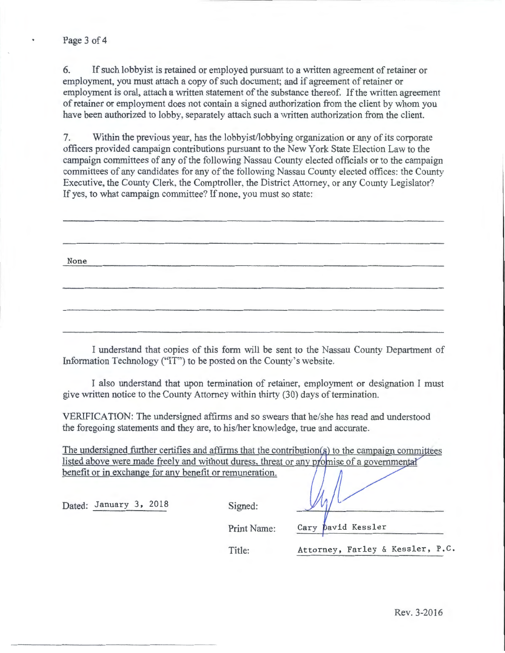6. If such lobbyist is retained or employed pursuant to a written agreement of retainer or employment, you must attach a copy of such document; and if agreement of retainer or employment is oral, attach a written statement of the substance thereof. If the written agreement of retainer or employment does not contain a signed authorization from the client by whom you have been authorized to lobby, separately attach such a written authorization from the client.

7. Within the previous year, has the lobbyist/lobbying organization or any of its corporate officers provided campaign contributions pursuant to the New York State Election Law to the campaign committees of any of the following Nassau County elected officials or to the campaign committees of any candidates for any of the following Nassau County elected offices: the County Executive, the County Clerk, the Comptroller, the District Attorney, or any County Legislator? If yes, to what campaign committee? If none, you must so state:

| None |  |  |
|------|--|--|
|      |  |  |

I understand that copies of this form will be sent to the Nassau County Department of Information Technology ("IT'') to be posted on the County's website.

I also understand that upon termination of retainer, employment or designation I must give written notice to the County Attorney within thirty (30) days of termination.

VERIFICATION: The undersigned affirms and so swears that he/she has read and understood the foregoing statements and they are, to his/her knowledge, true and accurate.

The undersigned further certifies and affirms that the contribution  $(s)$  to the campaign committees listed above were made freely and without duress, threat or any promise of a governmental benefit or in exchange for any benefit or remuneration.

Dated: January 3, 2018 Signed:

Print Name:

David Kessler Cary

Title: Attorney, Farley & Kessler, P.C.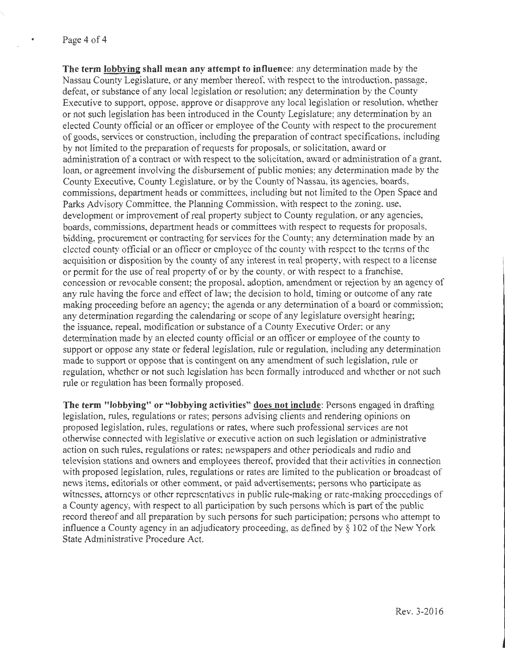**The term lobbying shall mean any attempt to influence:** any determination made by the Nassau County Legislature, or any member thereof, with respect to the introduction, passage, defeat, or substance of any local legislation or resolution; any determination by the County Executive to support, oppose, approve or disapprove any local legislation or resolution, whether or not such legislation has been introduced in the County Legislature; any determination by an elected County official or an officer or employee of the County with respect to the procurement of goods, services or construction, including the preparation of contract specifications, including by not limited to the preparation of requests for proposals, or solicitation, award or administration of a contract or with respect to the solicitation, award or administration of a grant, loan, or agreement involving the disbursement of public monies; any determination made by the County Executive, County Legislature, or by the County of Nassau, its agencies, boards, commissions, department heads or committees, including but not limited to the Open Space and Parks Advisory Committee. the Planning Commission, with respect to the zoning, use, development or improvement of real property subject to County regulation, or any agencies, boards, commissions, department heads or committees with respect to requests for proposals, bidding, procurement or contracting for services for the County; any determination made by an elected county official or an officer or employee of the county with respect to the terms of the acquisition or disposition by the county of any interest in real property, with respect to a license or permit for the use of real property of or by the county, or with respect to a franchise, concession or revocable consent; the proposal, adoption, amendment or rejection by an agency of any rule having the force and effect of law; the decision to hold, timing or outcome of any rate making proceeding before an agency; the agenda or any determination of a board or commission; any determination regarding the calendaring or scope of any legislature oversight hearing; the issuance, repeal. modification or substance of a County Executive Order; or any determination made by an elected county official or an officer or employee of the county to support or oppose any state or federal legislation, rule or regulation, including any determination made to support or oppose that is contingent on any amendment of such legislation, rule or regulation, whether or not such legislation has been formally introduced and whether or not such rule or regulation has been formally proposed.

**The term "lobbying" or "lobbying activities" does not include:** Persons engaged in drafting legislation, rules, regulations or rates; persons advising clients and rendering opinions on proposed legislation, rules, regulations or rates, where such professional services are not otherwise connected with legislative or executive action on such legislation or administrative action on such rules, regulations or rates; newspapers and other periodicals and radio and television stations and owners and employees thereof, provided that their activities in connection with proposed legislation, rules, regulations or rates are limited to the publication or broadcast of news items, editorials or other comment, or paid advertisements; persons who participate as witnesses, attorneys or other representatives in public rule-making or rate-making proceedings of a County agency, with respect to all participation by such persons which is part of the public record thereof and all preparation by such persons for such participation; persons who attempt to influence a County agency in an adjudicatory proceeding, as defined by  $\S$  102 of the New York State Administrative Procedure Act.